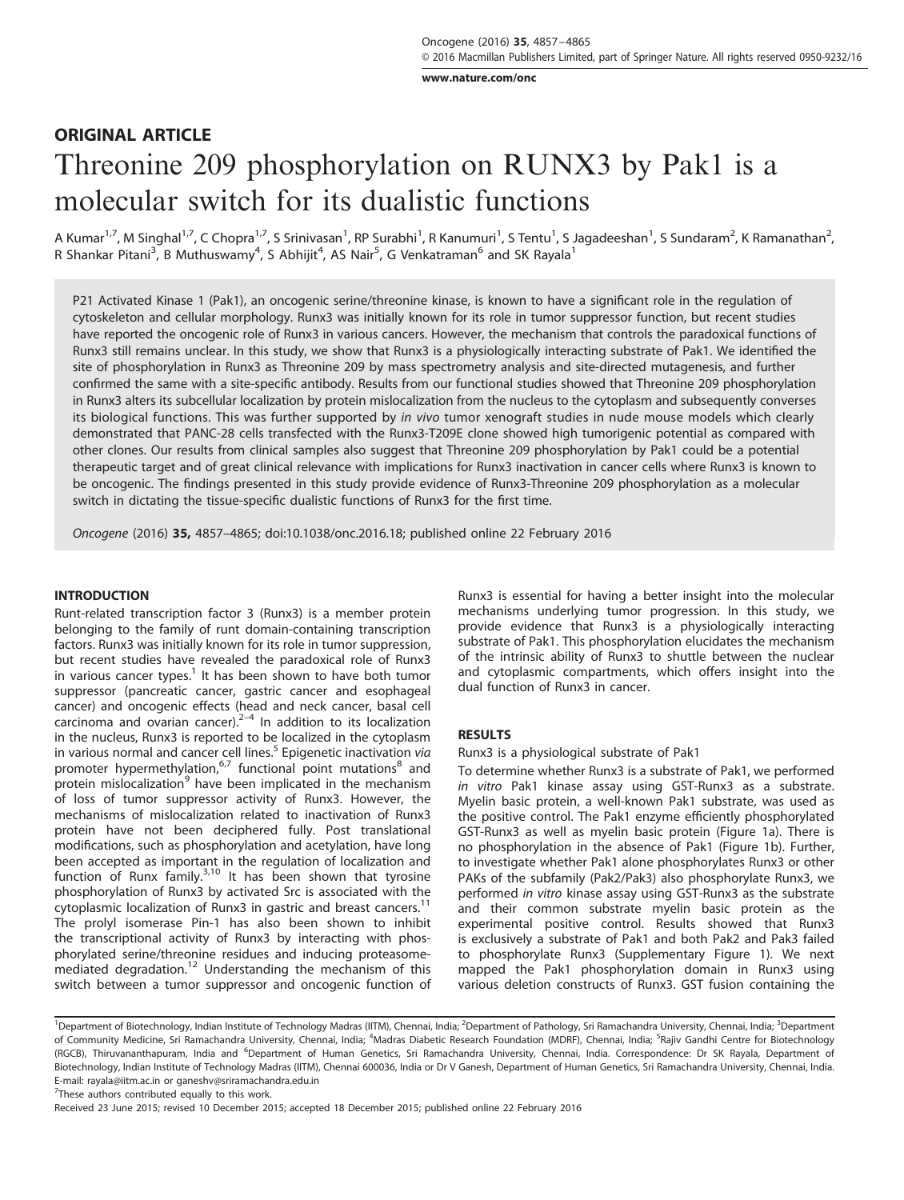www.nature.com/onc

# ORIGINAL ARTICLE Threonine 209 phosphorylation on RUNX3 by Pak1 is a molecular switch for its dualistic functions

A Kumar<sup>1,7</sup>, M Singhal<sup>1,7</sup>, C Chopra<sup>1,7</sup>, S Srinivasan<sup>1</sup>, RP Surabhi<sup>1</sup>, R Kanumuri<sup>1</sup>, S Tentu<sup>1</sup>, S Jagadeeshan<sup>1</sup>, S Sundaram<sup>2</sup>, K Ramanathan<sup>2</sup>, R Shankar Pitani<sup>3</sup>, B Muthuswamy<sup>4</sup>, S Abhijit<sup>4</sup>, AS Nair<sup>5</sup>, G Venkatraman<sup>6</sup> and SK Rayala<sup>1</sup>

P21 Activated Kinase 1 (Pak1), an oncogenic serine/threonine kinase, is known to have a significant role in the regulation of cytoskeleton and cellular morphology. Runx3 was initially known for its role in tumor suppressor function, but recent studies have reported the oncogenic role of Runx3 in various cancers. However, the mechanism that controls the paradoxical functions of Runx3 still remains unclear. In this study, we show that Runx3 is a physiologically interacting substrate of Pak1. We identified the site of phosphorylation in Runx3 as Threonine 209 by mass spectrometry analysis and site-directed mutagenesis, and further confirmed the same with a site-specific antibody. Results from our functional studies showed that Threonine 209 phosphorylation in Runx3 alters its subcellular localization by protein mislocalization from the nucleus to the cytoplasm and subsequently converses its biological functions. This was further supported by in vivo tumor xenograft studies in nude mouse models which clearly demonstrated that PANC-28 cells transfected with the Runx3-T209E clone showed high tumorigenic potential as compared with other clones. Our results from clinical samples also suggest that Threonine 209 phosphorylation by Pak1 could be a potential therapeutic target and of great clinical relevance with implications for Runx3 inactivation in cancer cells where Runx3 is known to be oncogenic. The findings presented in this study provide evidence of Runx3-Threonine 209 phosphorylation as a molecular switch in dictating the tissue-specific dualistic functions of Runx3 for the first time.

Oncogene (2016) 35, 4857–4865; doi:10.1038/onc.2016.18; published online 22 February 2016

## **INTRODUCTION**

Runt-related transcription factor 3 (Runx3) is a member protein belonging to the family of runt domain-containing transcription factors. Runx3 was initially known for its role in tumor suppression, but recent studies have revealed the paradoxical role of Runx3 in various cancer types.<sup>1</sup> It has been shown to have both tumor suppressor (pancreatic cancer, gastric cancer and esophageal cancer) and oncogenic effects (head and neck cancer, basal cell carcinoma and ovarian cancer). $2-4$  In addition to its localization in the nucleus, Runx3 is reported to be localized in the cytoplasm in various normal and cancer cell lines.<sup>5</sup> Epigenetic inactivation via promoter hypermethylation,<sup>6,7</sup> functional point mutations<sup>8</sup> and protein mislocalization<sup>9</sup> have been implicated in the mechanism of loss of tumor suppressor activity of Runx3. However, the mechanisms of mislocalization related to inactivation of Runx3 protein have not been deciphered fully. Post translational modifications, such as phosphorylation and acetylation, have long been accepted as important in the regulation of localization and<br>function of Runx family.<sup>3,10</sup> It has been shown that tyrosine phosphorylation of Runx3 by activated Src is associated with the cytoplasmic localization of Runx3 in gastric and breast cancers.<sup>11</sup> The prolyl isomerase Pin-1 has also been shown to inhibit the transcriptional activity of Runx3 by interacting with phosphorylated serine/threonine residues and inducing proteasomemediated degradation.<sup>12</sup> Understanding the mechanism of this switch between a tumor suppressor and oncogenic function of Runx3 is essential for having a better insight into the molecular mechanisms underlying tumor progression. In this study, we provide evidence that Runx3 is a physiologically interacting substrate of Pak1. This phosphorylation elucidates the mechanism of the intrinsic ability of Runx3 to shuttle between the nuclear and cytoplasmic compartments, which offers insight into the dual function of Runx3 in cancer.

# RESULTS

# Runx3 is a physiological substrate of Pak1

To determine whether Runx3 is a substrate of Pak1, we performed in vitro Pak1 kinase assay using GST-Runx3 as a substrate. Myelin basic protein, a well-known Pak1 substrate, was used as the positive control. The Pak1 enzyme efficiently phosphorylated GST-Runx3 as well as myelin basic protein (Figure 1a). There is no phosphorylation in the absence of Pak1 (Figure 1b). Further, to investigate whether Pak1 alone phosphorylates Runx3 or other PAKs of the subfamily (Pak2/Pak3) also phosphorylate Runx3, we performed in vitro kinase assay using GST-Runx3 as the substrate and their common substrate myelin basic protein as the experimental positive control. Results showed that Runx3 is exclusively a substrate of Pak1 and both Pak2 and Pak3 failed to phosphorylate Runx3 (Supplementary Figure 1). We next mapped the Pak1 phosphorylation domain in Runx3 using various deletion constructs of Runx3. GST fusion containing the

<sup>7</sup>These authors contributed equally to this work.

<sup>&</sup>lt;sup>1</sup>Department of Biotechnology, Indian Institute of Technology Madras (IITM), Chennai, India; <sup>2</sup>Department of Pathology, Sri Ramachandra University, Chennai, India; <sup>3</sup>Department of Community Medicine, Sri Ramachandra University, Chennai, India; <sup>4</sup>Madras Diabetic Research Foundation (MDRF), Chennai, India; <sup>5</sup>Rajiv Gandhi Centre for Biotechnology (RGCB), Thiruvananthapuram, India and <sup>6</sup>Department of Human Genetics, Sri Ramachandra University, Chennai, India. Correspondence: Dr SK Rayala, Department of Biotechnology, Indian Institute of Technology Madras (IITM), Chennai 600036, India or Dr V Ganesh, Department of Human Genetics, Sri Ramachandra University, Chennai, India. E-mail: rayala@iitm.ac.in or ganeshv@sriramachandra.edu.in

Received 23 June 2015; revised 10 December 2015; accepted 18 December 2015; published online 22 February 2016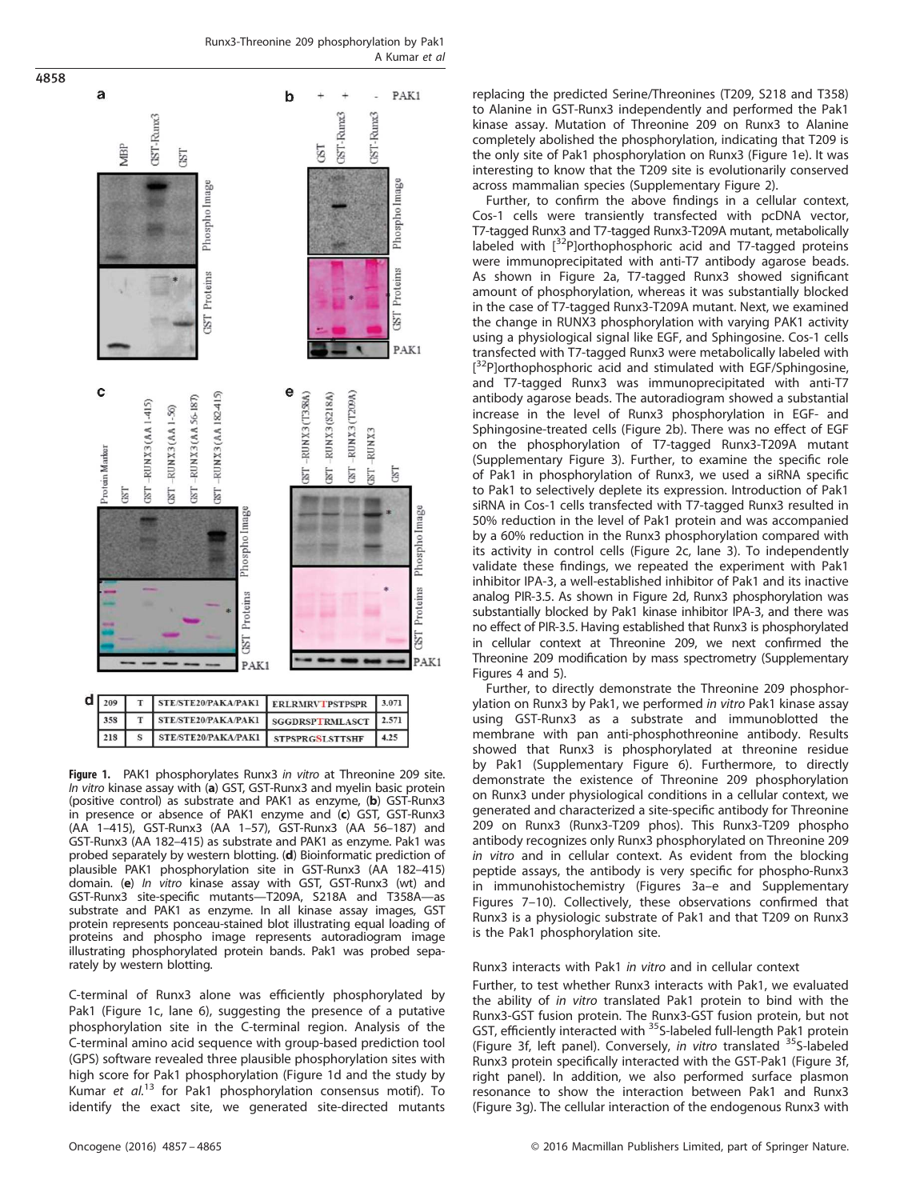Runx3-Threonine 209 phosphorylation by Pak1 A Kumar et al



Figure 1. PAK1 phosphorylates Runx3 in vitro at Threonine 209 site. In vitro kinase assay with (a) GST, GST-Runx3 and myelin basic protein (positive control) as substrate and PAK1 as enzyme, (b) GST-Runx3 in presence or absence of PAK1 enzyme and (c) GST, GST-Runx3 (AA 1–415), GST-Runx3 (AA 1–57), GST-Runx3 (AA 56–187) and GST-Runx3 (AA 182–415) as substrate and PAK1 as enzyme. Pak1 was probed separately by western blotting. (d) Bioinformatic prediction of plausible PAK1 phosphorylation site in GST-Runx3 (AA 182–415) domain. (e) In vitro kinase assay with GST, GST-Runx3 (wt) and GST-Runx3 site-specific mutants—T209A, S218A and T358A—as substrate and PAK1 as enzyme. In all kinase assay images, GST protein represents ponceau-stained blot illustrating equal loading of proteins and phospho image represents autoradiogram image illustrating phosphorylated protein bands. Pak1 was probed separately by western blotting.

C-terminal of Runx3 alone was efficiently phosphorylated by Pak1 (Figure 1c, lane 6), suggesting the presence of a putative phosphorylation site in the C-terminal region. Analysis of the C-terminal amino acid sequence with group-based prediction tool (GPS) software revealed three plausible phosphorylation sites with high score for Pak1 phosphorylation (Figure 1d and the study by Kumar et  $al^{13}$  for Pak1 phosphorylation consensus motif). To identify the exact site, we generated site-directed mutants replacing the predicted Serine/Threonines (T209, S218 and T358) to Alanine in GST-Runx3 independently and performed the Pak1 kinase assay. Mutation of Threonine 209 on Runx3 to Alanine completely abolished the phosphorylation, indicating that T209 is the only site of Pak1 phosphorylation on Runx3 (Figure 1e). It was interesting to know that the T209 site is evolutionarily conserved across mammalian species (Supplementary Figure 2).

Further, to confirm the above findings in a cellular context, Cos-1 cells were transiently transfected with pcDNA vector, T7-tagged Runx3 and T7-tagged Runx3-T209A mutant, metabolically labeled with [32P]orthophosphoric acid and T7-tagged proteins were immunoprecipitated with anti-T7 antibody agarose beads. As shown in Figure 2a, T7-tagged Runx3 showed significant amount of phosphorylation, whereas it was substantially blocked in the case of T7-tagged Runx3-T209A mutant. Next, we examined the change in RUNX3 phosphorylation with varying PAK1 activity using a physiological signal like EGF, and Sphingosine. Cos-1 cells transfected with T7-tagged Runx3 were metabolically labeled with [<sup>32</sup>P]orthophosphoric acid and stimulated with EGF/Sphingosine, and T7-tagged Runx3 was immunoprecipitated with anti-T7 antibody agarose beads. The autoradiogram showed a substantial increase in the level of Runx3 phosphorylation in EGF- and Sphingosine-treated cells (Figure 2b). There was no effect of EGF on the phosphorylation of T7-tagged Runx3-T209A mutant (Supplementary Figure 3). Further, to examine the specific role of Pak1 in phosphorylation of Runx3, we used a siRNA specific to Pak1 to selectively deplete its expression. Introduction of Pak1 siRNA in Cos-1 cells transfected with T7-tagged Runx3 resulted in 50% reduction in the level of Pak1 protein and was accompanied by a 60% reduction in the Runx3 phosphorylation compared with its activity in control cells (Figure 2c, lane 3). To independently validate these findings, we repeated the experiment with Pak1 inhibitor IPA-3, a well-established inhibitor of Pak1 and its inactive analog PIR-3.5. As shown in Figure 2d, Runx3 phosphorylation was substantially blocked by Pak1 kinase inhibitor IPA-3, and there was no effect of PIR-3.5. Having established that Runx3 is phosphorylated in cellular context at Threonine 209, we next confirmed the Threonine 209 modification by mass spectrometry (Supplementary Figures 4 and 5).

Further, to directly demonstrate the Threonine 209 phosphorylation on Runx3 by Pak1, we performed in vitro Pak1 kinase assay using GST-Runx3 as a substrate and immunoblotted the membrane with pan anti-phosphothreonine antibody. Results showed that Runx3 is phosphorylated at threonine residue by Pak1 (Supplementary Figure 6). Furthermore, to directly demonstrate the existence of Threonine 209 phosphorylation on Runx3 under physiological conditions in a cellular context, we generated and characterized a site-specific antibody for Threonine 209 on Runx3 (Runx3-T209 phos). This Runx3-T209 phospho antibody recognizes only Runx3 phosphorylated on Threonine 209 in vitro and in cellular context. As evident from the blocking peptide assays, the antibody is very specific for phospho-Runx3 in immunohistochemistry (Figures 3a–e and Supplementary Figures 7–10). Collectively, these observations confirmed that Runx3 is a physiologic substrate of Pak1 and that T209 on Runx3 is the Pak1 phosphorylation site.

# Runx3 interacts with Pak1 in vitro and in cellular context

Further, to test whether Runx3 interacts with Pak1, we evaluated the ability of in vitro translated Pak1 protein to bind with the Runx3-GST fusion protein. The Runx3-GST fusion protein, but not GST, efficiently interacted with <sup>35</sup>S-labeled full-length Pak1 protein (Figure 3f, left panel). Conversely, in vitro translated <sup>35</sup>S-labeled Runx3 protein specifically interacted with the GST-Pak1 (Figure 3f, right panel). In addition, we also performed surface plasmon resonance to show the interaction between Pak1 and Runx3 (Figure 3g). The cellular interaction of the endogenous Runx3 with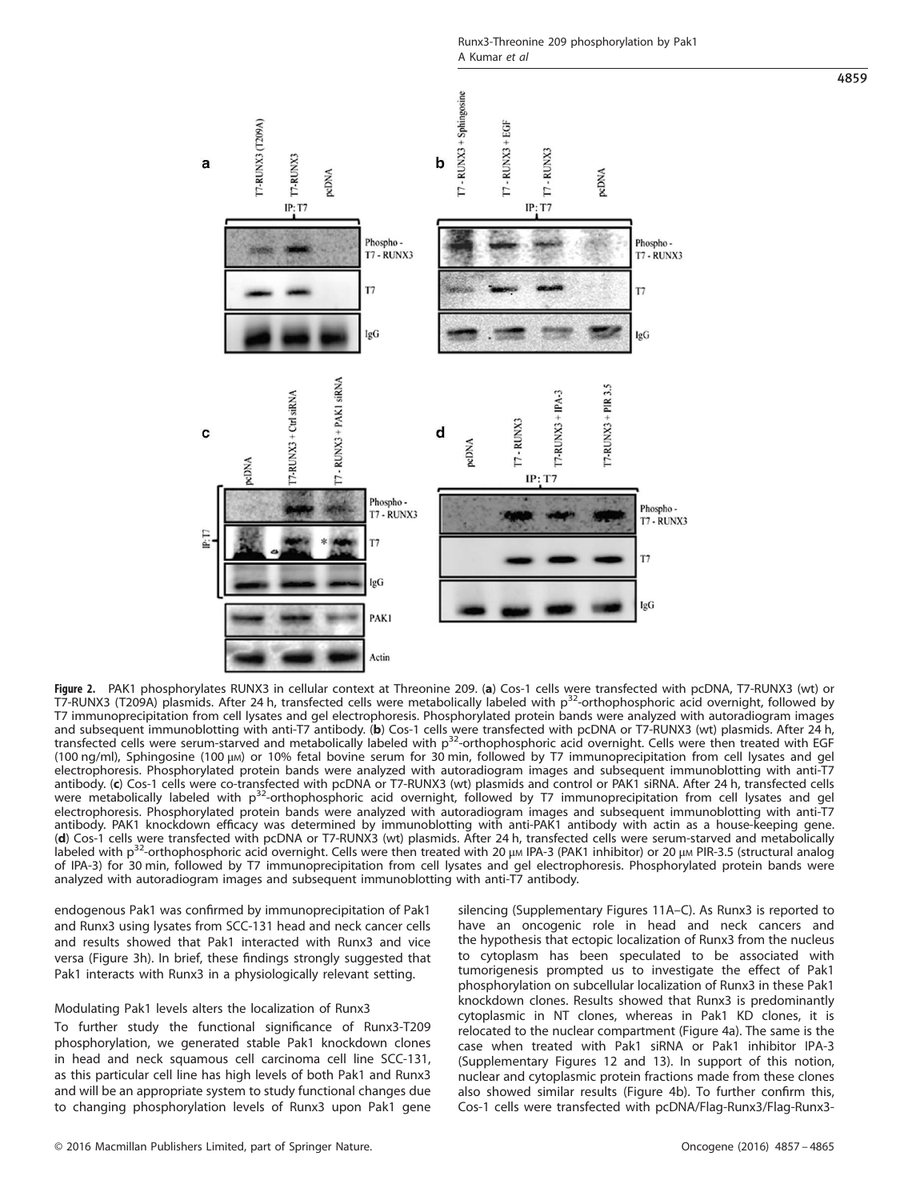Runx3-Threonine 209 phosphorylation by Pak1 A Kumar et al



**Figure 2.** PAK1 phosphorylates RUNX3 in cellular context at Threonine 209. (**a**) Cos-1 cells were transfected with pcDNA, T7-RUNX3 (wt) or<br>T7-RUNX3 (T209A) plasmids. After 24 h, transfected cells were metabolically labele T7 immunoprecipitation from cell lysates and gel electrophoresis. Phosphorylated protein bands were analyzed with autoradiogram images and subsequent immunoblotting with anti-T7 antibody. (**b**) Cos-1 cells were transfected with pcDNA or T7-RUNX3 (wt) plasmids. After 24 h,<br>transfected cells were serum-starved and metabolically labeled with p<sup>32</sup>-orthophosp (100 ng/ml), Sphingosine (100 μM) or 10% fetal bovine serum for 30 min, followed by T7 immunoprecipitation from cell lysates and gel electrophoresis. Phosphorylated protein bands were analyzed with autoradiogram images and subsequent immunoblotting with anti-T7 antibody. (c) Cos-1 cells were co-transfected with pcDNA or T7-RUNX3 (wt) plasmids and control or PAK1 siRNA. After 24 h, transfected cells were metabolically labeled with p<sup>32</sup>-orthophosphoric acid overnight, followed by T7 immunoprecipitation from cell lysates and gel electrophoresis. Phosphorylated protein bands were analyzed with autoradiogram images and subsequent immunoblotting with anti-T7 antibody. PAK1 knockdown efficacy was determined by immunoblotting with anti-PAK1 antibody with actin as a house-keeping gene. (d) Cos-1 cells were transfected with pcDNA or T7-RUNX3 (wt) plasmids. After 24 h, transfected cells were serum-starved and metabolically labeled with  $p^{32}$ -orthophosphoric acid overnight. Cells were then treated with 20  $\mu$ m IPA-3 (PAK1 inhibitor) or 20  $\mu$ m PIR-3.5 (structural analog of IPA-3) for 30 min, followed by T7 immunoprecipitation from cell lysates and gel electrophoresis. Phosphorylated protein bands were analyzed with autoradiogram images and subsequent immunoblotting with anti-T7 antibody.

endogenous Pak1 was confirmed by immunoprecipitation of Pak1 and Runx3 using lysates from SCC-131 head and neck cancer cells and results showed that Pak1 interacted with Runx3 and vice versa (Figure 3h). In brief, these findings strongly suggested that Pak1 interacts with Runx3 in a physiologically relevant setting.

# Modulating Pak1 levels alters the localization of Runx3

To further study the functional significance of Runx3-T209 phosphorylation, we generated stable Pak1 knockdown clones in head and neck squamous cell carcinoma cell line SCC-131, as this particular cell line has high levels of both Pak1 and Runx3 and will be an appropriate system to study functional changes due to changing phosphorylation levels of Runx3 upon Pak1 gene silencing (Supplementary Figures 11A–C). As Runx3 is reported to have an oncogenic role in head and neck cancers and the hypothesis that ectopic localization of Runx3 from the nucleus to cytoplasm has been speculated to be associated with tumorigenesis prompted us to investigate the effect of Pak1 phosphorylation on subcellular localization of Runx3 in these Pak1 knockdown clones. Results showed that Runx3 is predominantly cytoplasmic in NT clones, whereas in Pak1 KD clones, it is relocated to the nuclear compartment (Figure 4a). The same is the case when treated with Pak1 siRNA or Pak1 inhibitor IPA-3 (Supplementary Figures 12 and 13). In support of this notion, nuclear and cytoplasmic protein fractions made from these clones also showed similar results (Figure 4b). To further confirm this, Cos-1 cells were transfected with pcDNA/Flag-Runx3/Flag-Runx3-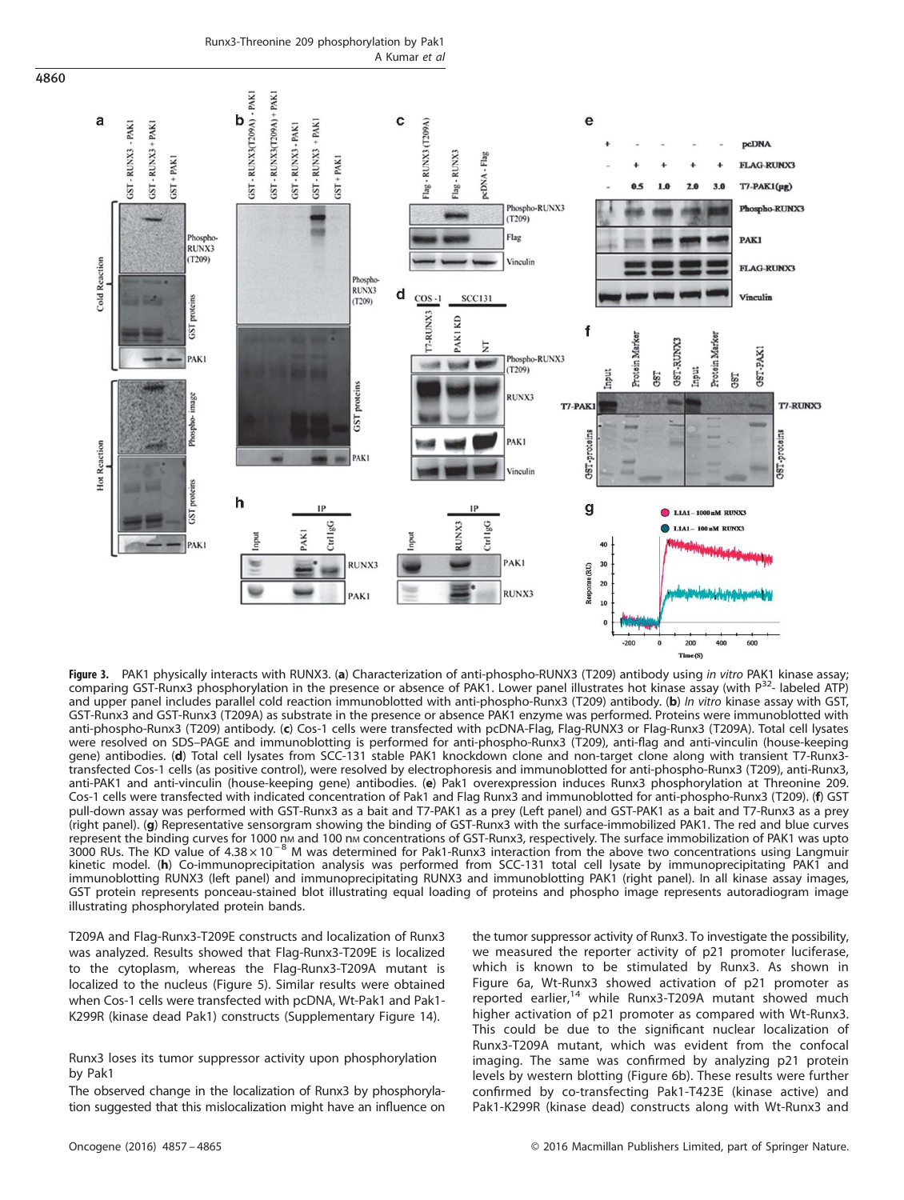Runx3-Threonine 209 phosphorylation by Pak1 A Kumar et al



Figure 3. PAK1 physically interacts with RUNX3. (a) Characterization of anti-phospho-RUNX3 (T209) antibody using in vitro PAK1 kinase assay; comparing GST-Runx3 phosphorylation in the presence or absence of PAK1. Lower panel illustrates hot kinase assay (with  $P^{32}$ - labeled ATP) and upper panel includes parallel cold reaction immunoblotted with anti-phospho-Runx3 (T209) antibody. (b) In vitro kinase assay with GST, GST-Runx3 and GST-Runx3 (T209A) as substrate in the presence or absence PAK1 enzyme was performed. Proteins were immunoblotted with anti-phospho-Runx3 (T209) antibody. (c) Cos-1 cells were transfected with pcDNA-Flag, Flag-RUNX3 or Flag-Runx3 (T209A). Total cell lysates were resolved on SDS–PAGE and immunoblotting is performed for anti-phospho-Runx3 (T209), anti-flag and anti-vinculin (house-keeping gene) antibodies. (d) Total cell lysates from SCC-131 stable PAK1 knockdown clone and non-target clone along with transient T7-Runx3 transfected Cos-1 cells (as positive control), were resolved by electrophoresis and immunoblotted for anti-phospho-Runx3 (T209), anti-Runx3, anti-PAK1 and anti-vinculin (house-keeping gene) antibodies. (e) Pak1 overexpression induces Runx3 phosphorylation at Threonine 209. Cos-1 cells were transfected with indicated concentration of Pak1 and Flag Runx3 and immunoblotted for anti-phospho-Runx3 (T209). (f) GST pull-down assay was performed with GST-Runx3 as a bait and T7-PAK1 as a prey (Left panel) and GST-PAK1 as a bait and T7-Runx3 as a prey (right panel). (g) Representative sensorgram showing the binding of GST-Runx3 with the surface-immobilized PAK1. The red and blue curves represent the binding curves for 1000 nm and 100 nm concentrations of GST-Runx3, respectively. The surface immobilization of PAK1 was upto 3000 RUs. The KD value of 4.38 × 10<sup>-8</sup> M was determined for Pak1-Runx3 interaction from the above two concentrations using Langmuir kinetic model. (h) Co-immunoprecipitation analysis was performed from SCC-131 total cell lysate by immunoprecipitating PAK1 and immunoblotting RUNX3 (left panel) and immunoprecipitating RUNX3 and immunoblotting PAK1 (right panel). In all kinase assay images, GST protein represents ponceau-stained blot illustrating equal loading of proteins and phospho image represents autoradiogram image illustrating phosphorylated protein bands.

T209A and Flag-Runx3-T209E constructs and localization of Runx3 was analyzed. Results showed that Flag-Runx3-T209E is localized to the cytoplasm, whereas the Flag-Runx3-T209A mutant is localized to the nucleus (Figure 5). Similar results were obtained when Cos-1 cells were transfected with pcDNA, Wt-Pak1 and Pak1- K299R (kinase dead Pak1) constructs (Supplementary Figure 14).

Runx3 loses its tumor suppressor activity upon phosphorylation by Pak1

The observed change in the localization of Runx3 by phosphorylation suggested that this mislocalization might have an influence on the tumor suppressor activity of Runx3. To investigate the possibility, we measured the reporter activity of p21 promoter luciferase, which is known to be stimulated by Runx3. As shown in Figure 6a, Wt-Runx3 showed activation of p21 promoter as reported earlier,<sup>14</sup> while Runx3-T209A mutant showed much higher activation of p21 promoter as compared with Wt-Runx3. This could be due to the significant nuclear localization of Runx3-T209A mutant, which was evident from the confocal imaging. The same was confirmed by analyzing p21 protein levels by western blotting (Figure 6b). These results were further confirmed by co-transfecting Pak1-T423E (kinase active) and Pak1-K299R (kinase dead) constructs along with Wt-Runx3 and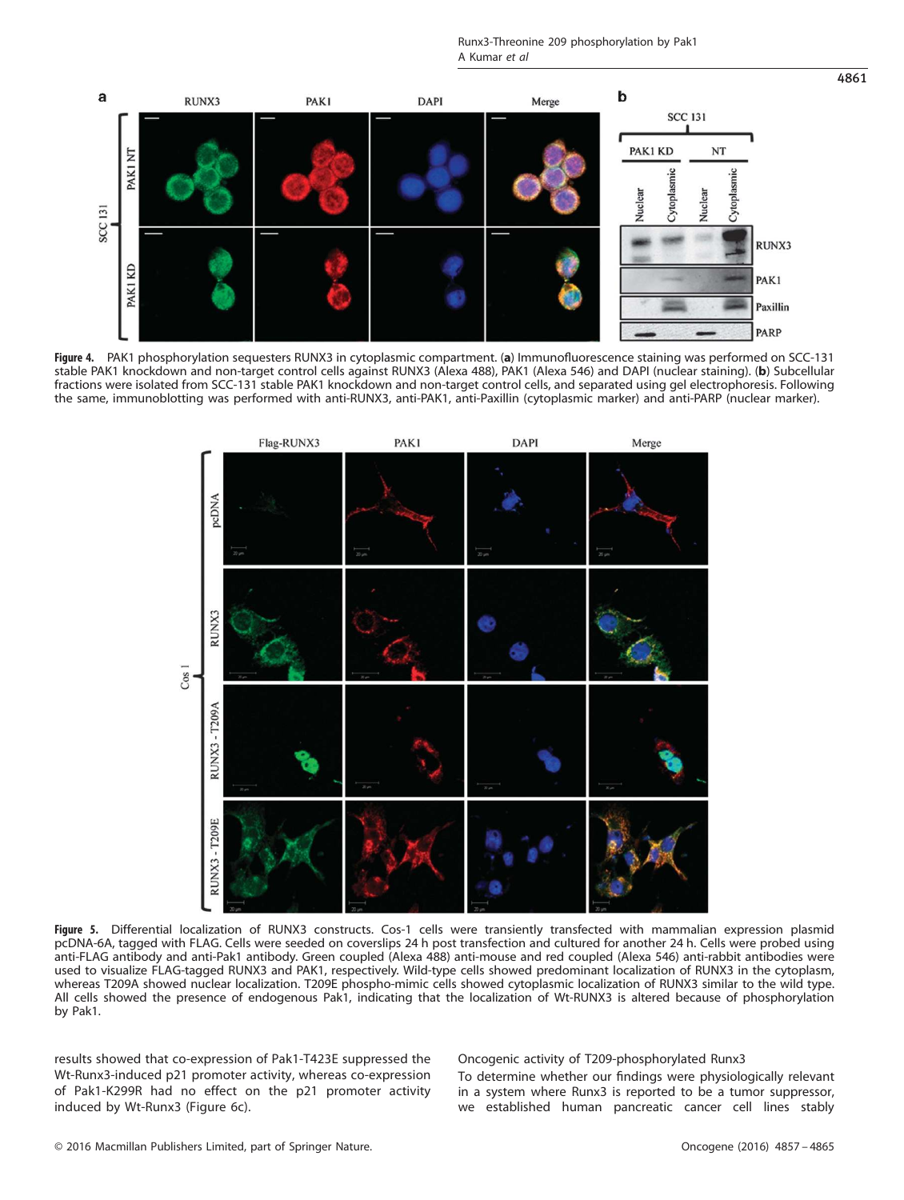Runx3-Threonine 209 phosphorylation by Pak1 A Kumar et al



Figure 4. PAK1 phosphorylation sequesters RUNX3 in cytoplasmic compartment. (a) Immunofluorescence staining was performed on SCC-131 stable PAK1 knockdown and non-target control cells against RUNX3 (Alexa 488), PAK1 (Alexa 546) and DAPI (nuclear staining). (b) Subcellular fractions were isolated from SCC-131 stable PAK1 knockdown and non-target control cells, and separated using gel electrophoresis. Following the same, immunoblotting was performed with anti-RUNX3, anti-PAK1, anti-Paxillin (cytoplasmic marker) and anti-PARP (nuclear marker).



Figure 5. Differential localization of RUNX3 constructs. Cos-1 cells were transiently transfected with mammalian expression plasmid pcDNA-6A, tagged with FLAG. Cells were seeded on coverslips 24 h post transfection and cultured for another 24 h. Cells were probed using anti-FLAG antibody and anti-Pak1 antibody. Green coupled (Alexa 488) anti-mouse and red coupled (Alexa 546) anti-rabbit antibodies were used to visualize FLAG-tagged RUNX3 and PAK1, respectively. Wild-type cells showed predominant localization of RUNX3 in the cytoplasm, whereas T209A showed nuclear localization. T209E phospho-mimic cells showed cytoplasmic localization of RUNX3 similar to the wild type. All cells showed the presence of endogenous Pak1, indicating that the localization of Wt-RUNX3 is altered because of phosphorylation by Pak1.

results showed that co-expression of Pak1-T423E suppressed the Wt-Runx3-induced p21 promoter activity, whereas co-expression of Pak1-K299R had no effect on the p21 promoter activity induced by Wt-Runx3 (Figure 6c).

Oncogenic activity of T209-phosphorylated Runx3

To determine whether our findings were physiologically relevant in a system where Runx3 is reported to be a tumor suppressor, we established human pancreatic cancer cell lines stably

4861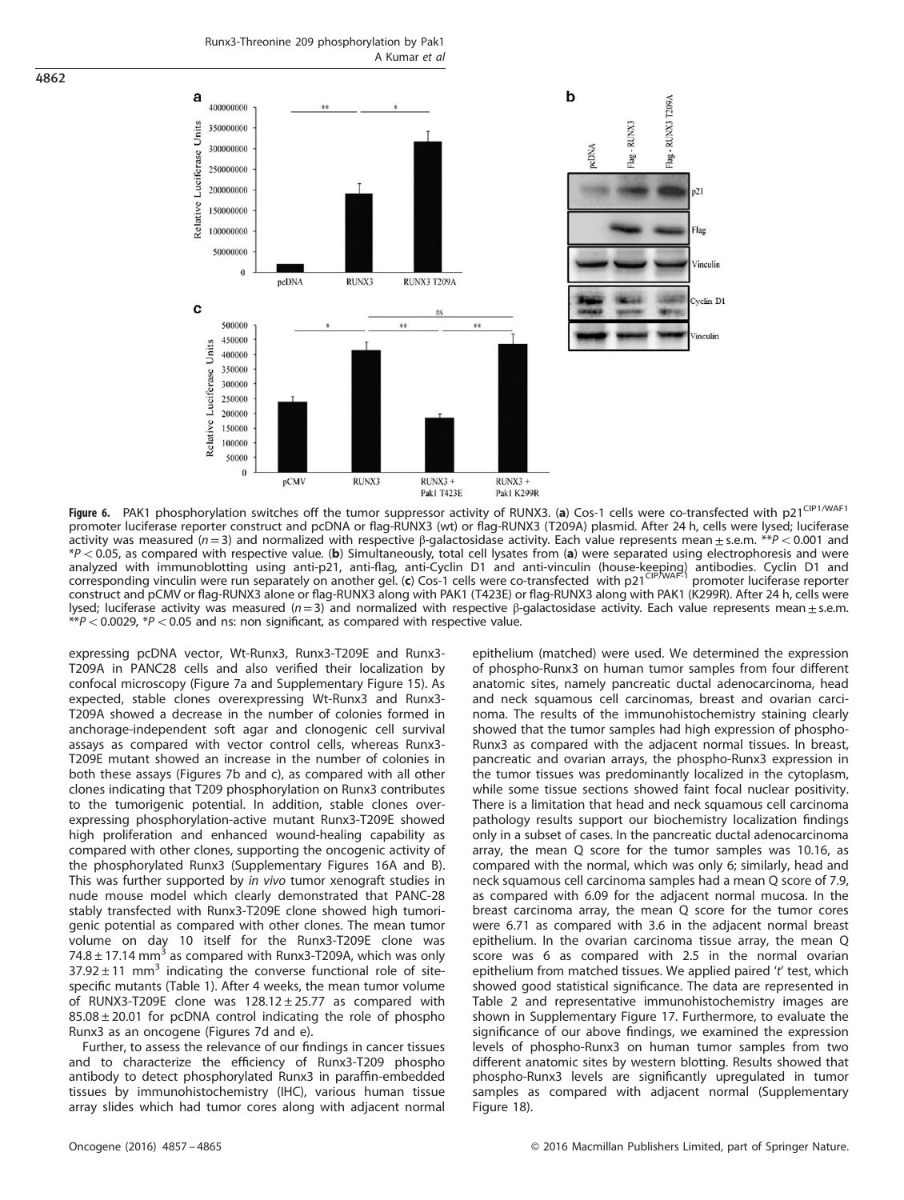Runx3-Threonine 209 phosphorylation by Pak1 A Kumar et al



Figure 6. PAK1 phosphorylation switches off the tumor suppressor activity of RUNX3. (a) Cos-1 cells were co-transfected with p21<sup>CIP1/WAF1</sup> promoter luciferase reporter construct and pcDNA or flag-RUNX3 (wt) or flag-RUNX3 (T209A) plasmid. After 24 h, cells were lysed; luciferase activity was measured ( $n = 3$ ) and normalized with respective β-galactosidase activity. Each value represents mean  $\pm$  s.e.m. \*\*P < 0.001 and  $*P < 0.05$ , as compared with respective value. (b) Simultaneously, total cell lysates from (a) were separated using electrophoresis and were analyzed with immunoblotting using anti-p21, anti-flag, anti-Cyclin D1 and anti-vinculin (house-keeping) antibodies. Cyclin D1 and corresponding vinculin were run separately on another gel. (c) Cos-1 cells were co-transfected with p21<sup>CIP/WAF-1</sup> promoter luciferase reporter construct and pCMV or flag-RUNX3 alone or flag-RUNX3 along with PAK1 (T423E) or flag-RUNX3 along with PAK1 (K299R). After 24 h, cells were lysed; luciferase activity was measured ( $n=3$ ) and normalized with respective β-galactosidase activity. Each value represents mean $\pm$ s.e.m.  $*p < 0.0029$ ,  $*p < 0.05$  and ns: non significant, as compared with respective value.

expressing pcDNA vector, Wt-Runx3, Runx3-T209E and Runx3- T209A in PANC28 cells and also verified their localization by confocal microscopy (Figure 7a and Supplementary Figure 15). As expected, stable clones overexpressing Wt-Runx3 and Runx3- T209A showed a decrease in the number of colonies formed in anchorage-independent soft agar and clonogenic cell survival assays as compared with vector control cells, whereas Runx3- T209E mutant showed an increase in the number of colonies in both these assays (Figures 7b and c), as compared with all other clones indicating that T209 phosphorylation on Runx3 contributes to the tumorigenic potential. In addition, stable clones overexpressing phosphorylation-active mutant Runx3-T209E showed high proliferation and enhanced wound-healing capability as compared with other clones, supporting the oncogenic activity of the phosphorylated Runx3 (Supplementary Figures 16A and B). This was further supported by in vivo tumor xenograft studies in nude mouse model which clearly demonstrated that PANC-28 stably transfected with Runx3-T209E clone showed high tumorigenic potential as compared with other clones. The mean tumor volume on day 10 itself for the Runx3-T209E clone was 74.8  $\pm$  17.14 mm<sup>3</sup> as compared with Runx3-T209A, which was only  $37.92 \pm 11$  mm<sup>3</sup> indicating the converse functional role of sitespecific mutants (Table 1). After 4 weeks, the mean tumor volume of RUNX3-T209E clone was  $128.12 \pm 25.77$  as compared with 85.08 ± 20.01 for pcDNA control indicating the role of phospho Runx3 as an oncogene (Figures 7d and e).

Further, to assess the relevance of our findings in cancer tissues and to characterize the efficiency of Runx3-T209 phospho antibody to detect phosphorylated Runx3 in paraffin-embedded tissues by immunohistochemistry (IHC), various human tissue array slides which had tumor cores along with adjacent normal epithelium (matched) were used. We determined the expression of phospho-Runx3 on human tumor samples from four different anatomic sites, namely pancreatic ductal adenocarcinoma, head and neck squamous cell carcinomas, breast and ovarian carcinoma. The results of the immunohistochemistry staining clearly showed that the tumor samples had high expression of phospho-Runx3 as compared with the adjacent normal tissues. In breast, pancreatic and ovarian arrays, the phospho-Runx3 expression in the tumor tissues was predominantly localized in the cytoplasm, while some tissue sections showed faint focal nuclear positivity. There is a limitation that head and neck squamous cell carcinoma pathology results support our biochemistry localization findings only in a subset of cases. In the pancreatic ductal adenocarcinoma array, the mean Q score for the tumor samples was 10.16, as compared with the normal, which was only 6; similarly, head and neck squamous cell carcinoma samples had a mean Q score of 7.9, as compared with 6.09 for the adjacent normal mucosa. In the breast carcinoma array, the mean Q score for the tumor cores were 6.71 as compared with 3.6 in the adjacent normal breast epithelium. In the ovarian carcinoma tissue array, the mean Q score was 6 as compared with 2.5 in the normal ovarian epithelium from matched tissues. We applied paired 't' test, which showed good statistical significance. The data are represented in Table 2 and representative immunohistochemistry images are shown in Supplementary Figure 17. Furthermore, to evaluate the significance of our above findings, we examined the expression levels of phospho-Runx3 on human tumor samples from two different anatomic sites by western blotting. Results showed that phospho-Runx3 levels are significantly upregulated in tumor samples as compared with adjacent normal (Supplementary Figure 18).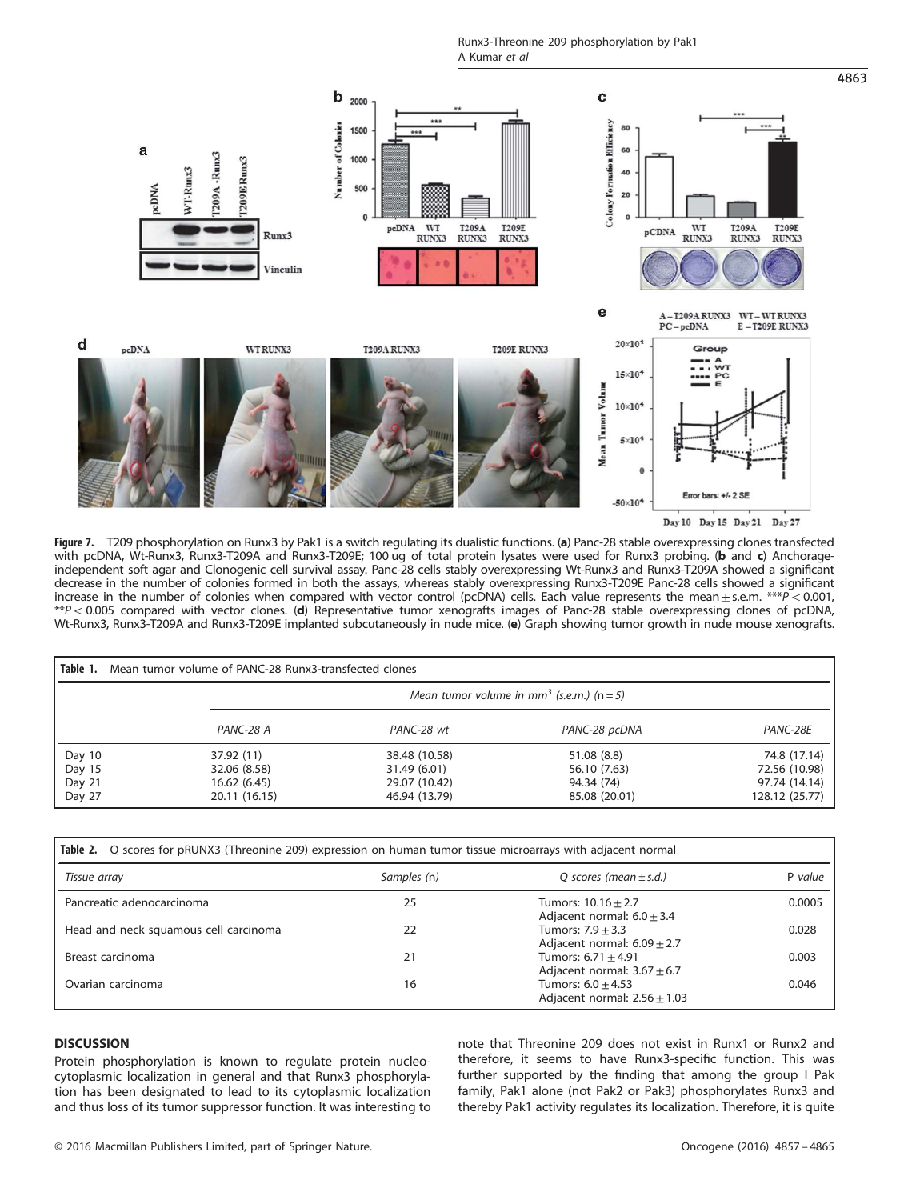Runx3-Threonine 209 phosphorylation by Pak1 A Kumar et al



Day 10 Day 15 Day 21 Day 27

4863

Figure 7. T209 phosphorylation on Runx3 by Pak1 is a switch regulating its dualistic functions. (a) Panc-28 stable overexpressing clones transfected with pcDNA, Wt-Runx3, Runx3-T209A and Runx3-T209E; 100 ug of total protein lysates were used for Runx3 probing. (b and c) Anchorageindependent soft agar and Clonogenic cell survival assay. Panc-28 cells stably overexpressing Wt-Runx3 and Runx3-T209A showed a significant decrease in the number of colonies formed in both the assays, whereas stably overexpressing Runx3-T209E Panc-28 cells showed a significant increase in the number of colonies when compared with vector control (pcDNA) cells. Each value represents the mean $\pm$ s.e.m.  $***P$  < 0.001,  $*P$  < 0.005 compared with vector clones. (d) Representative tumor xenografts images of Panc-28 stable overexpressing clones of pcDNA, Wt-Runx3, Runx3-T209A and Runx3-T209E implanted subcutaneously in nude mice. (e) Graph showing tumor growth in nude mouse xenografts.

| Table 1.<br>Mean tumor volume of PANC-28 Runx3-transfected clones |                                                           |               |               |                |  |  |
|-------------------------------------------------------------------|-----------------------------------------------------------|---------------|---------------|----------------|--|--|
|                                                                   | Mean tumor volume in mm <sup>3</sup> (s.e.m.) ( $n = 5$ ) |               |               |                |  |  |
|                                                                   | PANC-28 A                                                 | PANC-28 wt    | PANC-28 pcDNA | PANC-28E       |  |  |
| Day 10                                                            | 37.92 (11)                                                | 38.48 (10.58) | 51.08 (8.8)   | 74.8 (17.14)   |  |  |
| Day 15                                                            | 32.06 (8.58)                                              | 31.49 (6.01)  | 56.10 (7.63)  | 72.56 (10.98)  |  |  |
| Day 21                                                            | 16.62(6.45)                                               | 29.07 (10.42) | 94.34 (74)    | 97.74 (14.14)  |  |  |
| Day 27                                                            | 20.11 (16.15)                                             | 46.94 (13.79) | 85.08 (20.01) | 128.12 (25.77) |  |  |

| Table 2. Q scores for pRUNX3 (Threonine 209) expression on human tumor tissue microarrays with adjacent normal |             |                                                            |         |  |  |
|----------------------------------------------------------------------------------------------------------------|-------------|------------------------------------------------------------|---------|--|--|
| Tissue array                                                                                                   | Samples (n) | Q scores (mean $\pm$ s.d.)                                 | P value |  |  |
| Pancreatic adenocarcinoma                                                                                      | 25          | Tumors: $10.16 \pm 2.7$<br>Adjacent normal: $6.0 \pm 3.4$  | 0.0005  |  |  |
| Head and neck squamous cell carcinoma                                                                          | 22          | Tumors: $7.9 + 3.3$<br>Adjacent normal: $6.09 \pm 2.7$     | 0.028   |  |  |
| Breast carcinoma                                                                                               | 21          | Tumors: $6.71 \pm 4.91$<br>Adjacent normal: $3.67 \pm 6.7$ | 0.003   |  |  |
| Ovarian carcinoma                                                                                              | 16          | Tumors: $6.0 \pm 4.53$<br>Adjacent normal: $2.56 \pm 1.03$ | 0.046   |  |  |

# **DISCUSSION**

Protein phosphorylation is known to regulate protein nucleocytoplasmic localization in general and that Runx3 phosphorylation has been designated to lead to its cytoplasmic localization and thus loss of its tumor suppressor function. It was interesting to note that Threonine 209 does not exist in Runx1 or Runx2 and therefore, it seems to have Runx3-specific function. This was further supported by the finding that among the group I Pak family, Pak1 alone (not Pak2 or Pak3) phosphorylates Runx3 and thereby Pak1 activity regulates its localization. Therefore, it is quite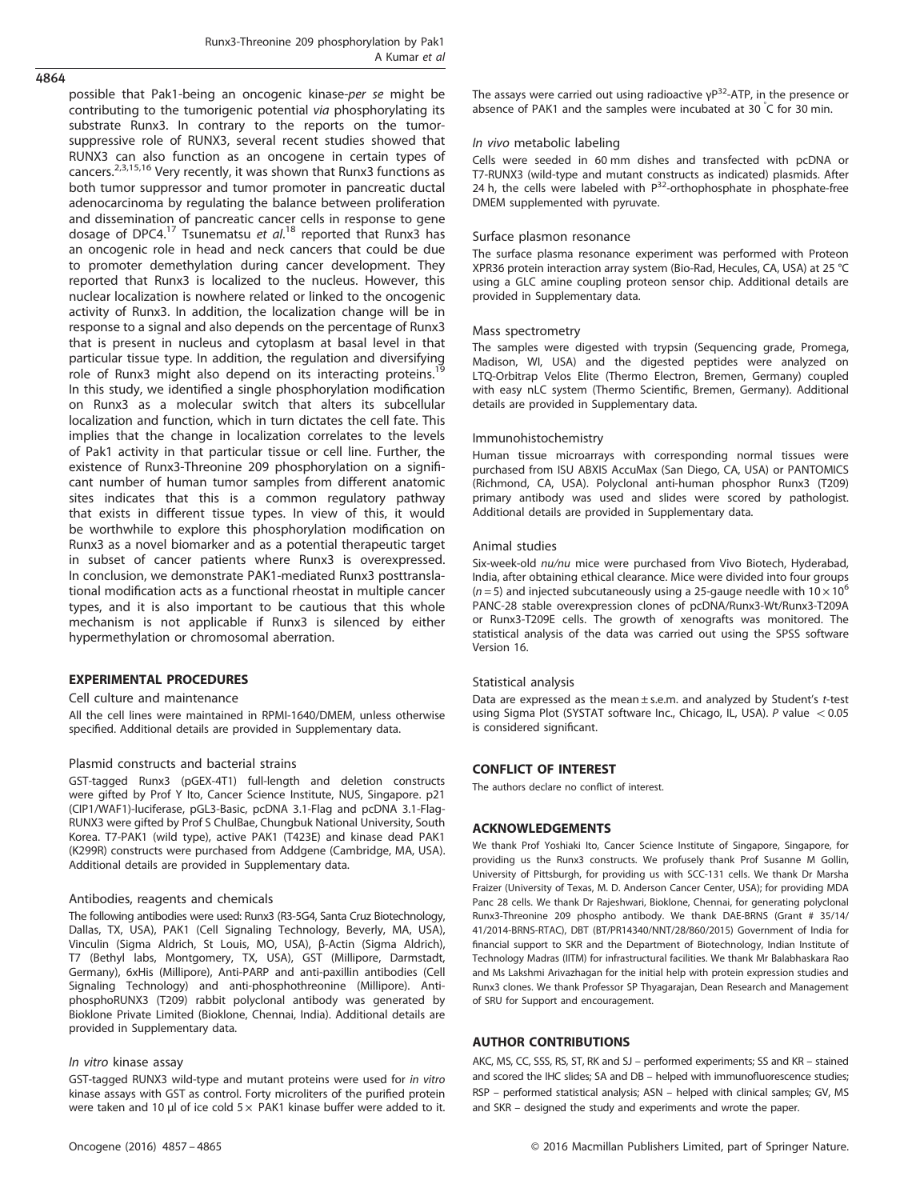possible that Pak1-being an oncogenic kinase-per se might be contributing to the tumorigenic potential via phosphorylating its substrate Runx3. In contrary to the reports on the tumorsuppressive role of RUNX3, several recent studies showed that RUNX3 can also function as an oncogene in certain types of cancers.<sup>2,3,15,16</sup> Very recently, it was shown that Runx3 functions as both tumor suppressor and tumor promoter in pancreatic ductal adenocarcinoma by regulating the balance between proliferation and dissemination of pancreatic cancer cells in response to gene dosage of DPC4.<sup>17</sup> Tsunematsu et al.<sup>18</sup> reported that Runx3 has an oncogenic role in head and neck cancers that could be due to promoter demethylation during cancer development. They reported that Runx3 is localized to the nucleus. However, this nuclear localization is nowhere related or linked to the oncogenic activity of Runx3. In addition, the localization change will be in response to a signal and also depends on the percentage of Runx3 that is present in nucleus and cytoplasm at basal level in that particular tissue type. In addition, the regulation and diversifying<br>role of Runx3 might also depend on its interacting proteins.<sup>19</sup> In this study, we identified a single phosphorylation modification on Runx3 as a molecular switch that alters its subcellular localization and function, which in turn dictates the cell fate. This implies that the change in localization correlates to the levels of Pak1 activity in that particular tissue or cell line. Further, the existence of Runx3-Threonine 209 phosphorylation on a significant number of human tumor samples from different anatomic sites indicates that this is a common regulatory pathway that exists in different tissue types. In view of this, it would be worthwhile to explore this phosphorylation modification on Runx3 as a novel biomarker and as a potential therapeutic target in subset of cancer patients where Runx3 is overexpressed. In conclusion, we demonstrate PAK1-mediated Runx3 posttranslational modification acts as a functional rheostat in multiple cancer types, and it is also important to be cautious that this whole mechanism is not applicable if Runx3 is silenced by either hypermethylation or chromosomal aberration.

# EXPERIMENTAL PROCEDURES

## Cell culture and maintenance

All the cell lines were maintained in RPMI-1640/DMEM, unless otherwise specified. Additional details are provided in Supplementary data.

## Plasmid constructs and bacterial strains

GST-tagged Runx3 (pGEX-4T1) full-length and deletion constructs were gifted by Prof Y Ito, Cancer Science Institute, NUS, Singapore. p21 (CIP1/WAF1)-luciferase, pGL3-Basic, pcDNA 3.1-Flag and pcDNA 3.1-Flag-RUNX3 were gifted by Prof S ChulBae, Chungbuk National University, South Korea. T7-PAK1 (wild type), active PAK1 (T423E) and kinase dead PAK1 (K299R) constructs were purchased from Addgene (Cambridge, MA, USA). Additional details are provided in Supplementary data.

#### Antibodies, reagents and chemicals

The following antibodies were used: Runx3 (R3-5G4, Santa Cruz Biotechnology, Dallas, TX, USA), PAK1 (Cell Signaling Technology, Beverly, MA, USA), Vinculin (Sigma Aldrich, St Louis, MO, USA), β-Actin (Sigma Aldrich), T7 (Bethyl labs, Montgomery, TX, USA), GST (Millipore, Darmstadt, Germany), 6xHis (Millipore), Anti-PARP and anti-paxillin antibodies (Cell Signaling Technology) and anti-phosphothreonine (Millipore). AntiphosphoRUNX3 (T209) rabbit polyclonal antibody was generated by Bioklone Private Limited (Bioklone, Chennai, India). Additional details are provided in Supplementary data.

#### In vitro kinase assay

GST-tagged RUNX3 wild-type and mutant proteins were used for in vitro kinase assays with GST as control. Forty microliters of the purified protein were taken and 10 μl of ice cold  $5 \times$  PAK1 kinase buffer were added to it. The assays were carried out using radioactive  $\gamma P^{32}$ -ATP, in the presence or absence of PAK1 and the samples were incubated at 30 ° C for 30 min.

## In vivo metabolic labeling

Cells were seeded in 60 mm dishes and transfected with pcDNA or T7-RUNX3 (wild-type and mutant constructs as indicated) plasmids. After 24 h, the cells were labeled with  $P^{32}$ -orthophosphate in phosphate-free DMEM supplemented with pyruvate.

#### Surface plasmon resonance

The surface plasma resonance experiment was performed with Proteon XPR36 protein interaction array system (Bio-Rad, Hecules, CA, USA) at 25 °C using a GLC amine coupling proteon sensor chip. Additional details are provided in Supplementary data.

#### Mass spectrometry

The samples were digested with trypsin (Sequencing grade, Promega, Madison, WI, USA) and the digested peptides were analyzed on LTQ-Orbitrap Velos Elite (Thermo Electron, Bremen, Germany) coupled with easy nLC system (Thermo Scientific, Bremen, Germany). Additional details are provided in Supplementary data.

#### Immunohistochemistry

Human tissue microarrays with corresponding normal tissues were purchased from ISU ABXIS AccuMax (San Diego, CA, USA) or PANTOMICS (Richmond, CA, USA). Polyclonal anti-human phosphor Runx3 (T209) primary antibody was used and slides were scored by pathologist. Additional details are provided in Supplementary data.

#### Animal studies

Six-week-old nu/nu mice were purchased from Vivo Biotech, Hyderabad, India, after obtaining ethical clearance. Mice were divided into four groups ( $n = 5$ ) and injected subcutaneously using a 25-gauge needle with 10  $\times$  10<sup>6</sup> PANC-28 stable overexpression clones of pcDNA/Runx3-Wt/Runx3-T209A or Runx3-T209E cells. The growth of xenografts was monitored. The statistical analysis of the data was carried out using the SPSS software Version 16.

## Statistical analysis

Data are expressed as the mean  $\pm$  s.e.m. and analyzed by Student's t-test using Sigma Plot (SYSTAT software Inc., Chicago, IL, USA). P value  $< 0.05$ is considered significant.

# CONFLICT OF INTEREST

The authors declare no conflict of interest.

# ACKNOWLEDGEMENTS

We thank Prof Yoshiaki Ito, Cancer Science Institute of Singapore, Singapore, for providing us the Runx3 constructs. We profusely thank Prof Susanne M Gollin, University of Pittsburgh, for providing us with SCC-131 cells. We thank Dr Marsha Fraizer (University of Texas, M. D. Anderson Cancer Center, USA); for providing MDA Panc 28 cells. We thank Dr Rajeshwari, Bioklone, Chennai, for generating polyclonal Runx3-Threonine 209 phospho antibody. We thank DAE-BRNS (Grant # 35/14/ 41/2014-BRNS-RTAC), DBT (BT/PR14340/NNT/28/860/2015) Government of India for financial support to SKR and the Department of Biotechnology, Indian Institute of Technology Madras (IITM) for infrastructural facilities. We thank Mr Balabhaskara Rao and Ms Lakshmi Arivazhagan for the initial help with protein expression studies and Runx3 clones. We thank Professor SP Thyagarajan, Dean Research and Management of SRU for Support and encouragement.

## AUTHOR CONTRIBUTIONS

AKC, MS, CC, SSS, RS, ST, RK and SJ – performed experiments; SS and KR – stained and scored the IHC slides; SA and DB – helped with immunofluorescence studies; RSP – performed statistical analysis; ASN – helped with clinical samples; GV, MS and SKR – designed the study and experiments and wrote the paper.